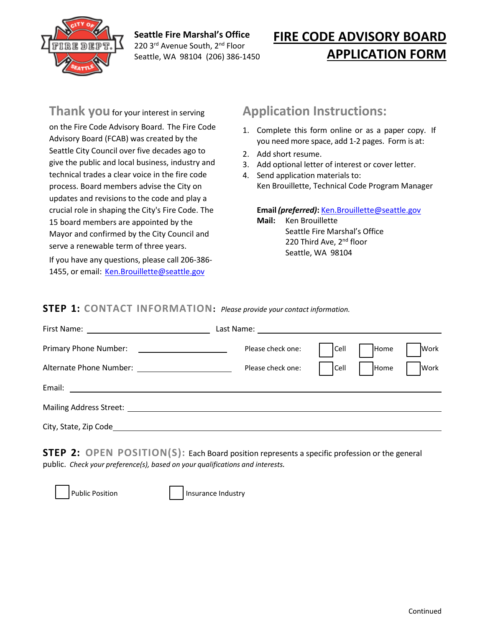

**Seattle Fire Marshal's Office**  220 3rd Avenue South, 2<sup>nd</sup> Floor Seattle, WA 98104 (206) 386-1450

# **FIRE CODE ADVISORY BOARD APPLICATION FORM**

**Thank you** for your interest in serving on the Fire Code Advisory Board. The Fire Code Advisory Board (FCAB) was created by the Seattle City Council over five decades ago to give the public and local business, industry and technical trades a clear voice in the fire code process. Board members advise the City on updates and revisions to the code and play a crucial role in shaping the City's Fire Code. The 15 board members are appointed by the Mayor and confirmed by the City Council and serve a renewable term of three years.

If you have any questions, please call 206-386- 1455, or email: [Ken.Brouillette@seattle.gov](mailto:ken.brouillette@seattle.gov)

### **Application Instructions:**

- 1. Complete this form online or as a paper copy. If you need more space, add 1-2 pages. Form is at[:](http://bit.ly/constructioncodeadvisoryboard)
- 2. Add short resume.
- 3. Add optional letter of interest or cover letter.
- 4. Send application materials to: Ken Brouillette, Technical Code Program Manager

**Email** *(preferred)***:** [Ken.Brouillette@seattle.gov](mailto:ken.brouillette@seattle.gov)

**Mail:** Ken Brouillette Seattle Fire Marshal's Office 220 Third Ave, 2<sup>nd</sup> floor Seattle, WA 98104

#### **STEP 1: CONTACT INFORMATION:** *Please provide your contact information.*

| First Name: <u>__________________________</u>             |                   |          |      |             |
|-----------------------------------------------------------|-------------------|----------|------|-------------|
| Primary Phone Number:                                     | Please check one: | Cell     | Home | <b>Work</b> |
|                                                           | Please check one: | $ $ Cell | Home | Work        |
| Email:<br><u> 1989 - Andrea Station Barbara (b. 1989)</u> |                   |          |      |             |
| Mailing Address Street:                                   |                   |          |      |             |
| City, State, Zip Code_                                    |                   |          |      |             |

**STEP 2: OPEN POSITION(S):** Each Board position represents a specific profession or the general public. *Check your preference(s), based on your qualifications and interests.*



Public Position **Insurance Industry**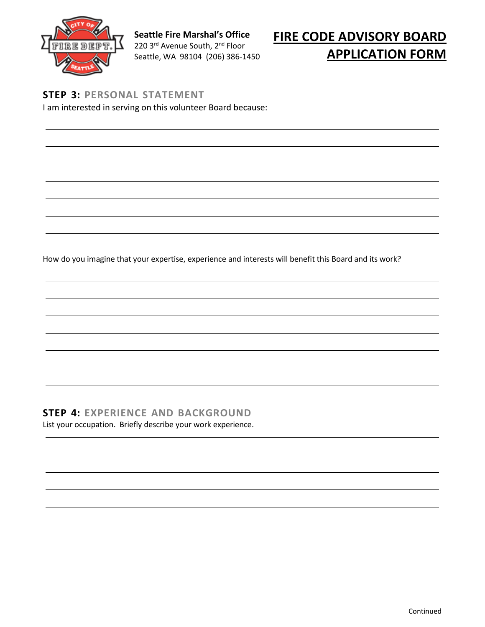

**Seattle Fire Marshal's Office**  220 3rd Avenue South, 2nd Floor Seattle, WA 98104 (206) 386-1450

# **FIRE CODE ADVISORY BOARD APPLICATION FORM**

**STEP 3: PERSONAL STATEMENT** I am interested in serving on this volunteer Board because:

How do you imagine that your expertise, experience and interests will benefit this Board and its work?

### **STEP 4: EXPERIENCE AND BACKGROUND**

List your occupation. Briefly describe your work experience.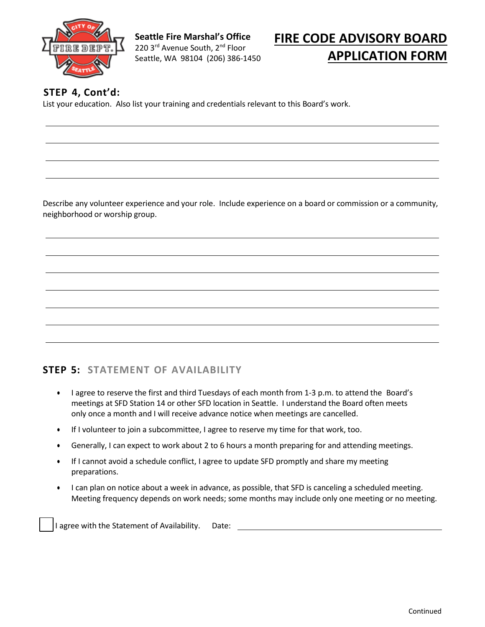

**Seattle Fire Marshal's Office**  220 3<sup>rd</sup> Avenue South, 2<sup>nd</sup> Floor Seattle, WA 98104 (206) 386-1450

# **FIRE CODE ADVISORY BOARD APPLICATION FORM**

#### **STEP 4, Cont'd:**

List your education. Also list your training and credentials relevant to this Board's work.

Describe any volunteer experience and your role. Include experience on a board or commission or a community, neighborhood or worship group.

#### **STEP 5: STATEMENT OF AVAILABILITY**

- I agree to reserve the first and third Tuesdays of each month from 1-3 p.m. to attend the Board's meetings at SFD Station 14 or other SFD location in Seattle. I understand the Board often meets only once a month and I will receive advance notice when meetings are cancelled.
- If I volunteer to join a subcommittee, I agree to reserve my time for that work, too.
- Generally, I can expect to work about 2 to 6 hours a month preparing for and attending meetings.
- If I cannot avoid a schedule conflict, I agree to update SFD promptly and share my meeting preparations.
- I can plan on notice about a week in advance, as possible, that SFD is canceling a scheduled meeting. Meeting frequency depends on work needs; some months may include only one meeting or no meeting.

I agree with the Statement of Availability. Date: